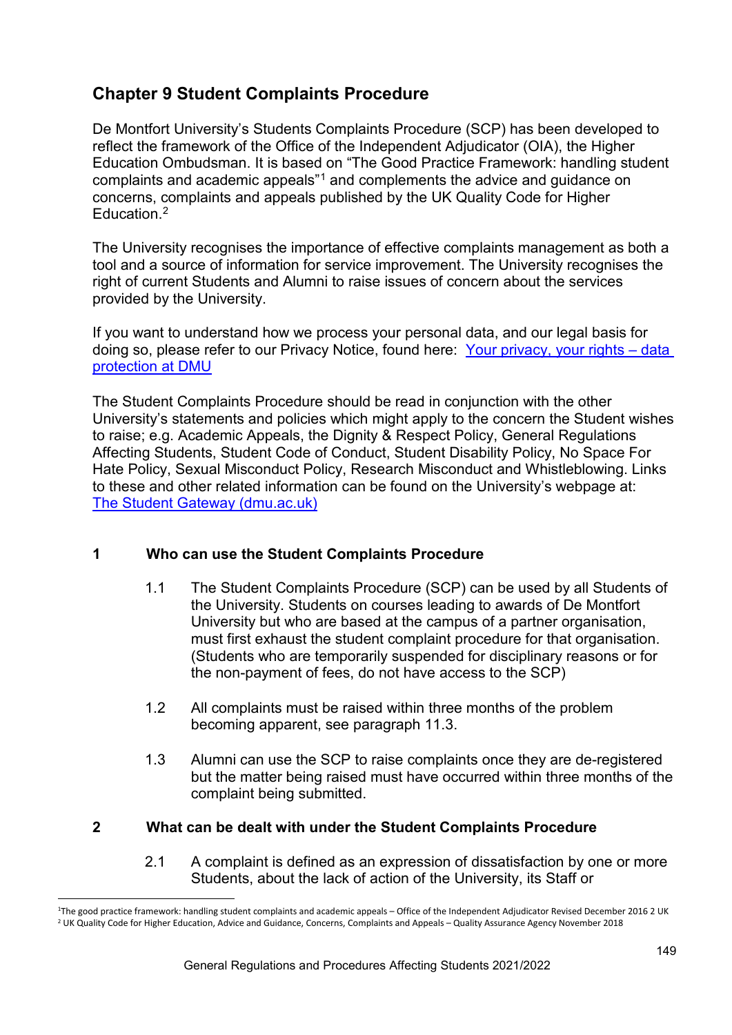## **Chapter 9 Student Complaints Procedure**

De Montfort University's Students Complaints Procedure (SCP) has been developed to reflect the framework of the Office of the Independent Adjudicator (OIA), the Higher Education Ombudsman. It is based on "The Good Practice Framework: handling student complaints and academic appeals"[1](#page-0-0) and complements the advice and guidance on concerns, complaints and appeals published by the UK Quality Code for Higher Education.<sup>[2](#page-0-1)</sup>

The University recognises the importance of effective complaints management as both a tool and a source of information for service improvement. The University recognises the right of current Students and Alumni to raise issues of concern about the services provided by the University.

If you want to understand how we process your personal data, and our legal basis for doing so, please refer to our Privacy Notice, found here: [Your privacy, your rights – data](https://www.dmu.ac.uk/policies/data-protection/data-protection.aspx)  [protection at DMU](https://www.dmu.ac.uk/policies/data-protection/data-protection.aspx)

The Student Complaints Procedure should be read in conjunction with the other University's statements and policies which might apply to the concern the Student wishes to raise; e.g. Academic Appeals, the Dignity & Respect Policy, General Regulations Affecting Students, Student Code of Conduct, Student Disability Policy, No Space For Hate Policy, Sexual Misconduct Policy, Research Misconduct and Whistleblowing. Links to these and other related information can be found on the University's webpage at: [The Student Gateway \(dmu.ac.uk\)](https://www.dmu.ac.uk/current-students/student-support/index.aspx)

#### **1 Who can use the Student Complaints Procedure**

- 1.1 The Student Complaints Procedure (SCP) can be used by all Students of the University. Students on courses leading to awards of De Montfort University but who are based at the campus of a partner organisation, must first exhaust the student complaint procedure for that organisation. (Students who are temporarily suspended for disciplinary reasons or for the non-payment of fees, do not have access to the SCP)
- 1.2 All complaints must be raised within three months of the problem becoming apparent, see paragraph 11.3.
- 1.3 Alumni can use the SCP to raise complaints once they are de-registered but the matter being raised must have occurred within three months of the complaint being submitted.

#### **2 What can be dealt with under the Student Complaints Procedure**

2.1 A complaint is defined as an expression of dissatisfaction by one or more Students, about the lack of action of the University, its Staff or

<span id="page-0-1"></span><span id="page-0-0"></span><sup>&</sup>lt;sup>1</sup>The good practice framework: handling student complaints and academic appeals – Office of the Independent Adjudicator Revised December 2016 2 UK <sup>2</sup> UK Quality Code for Higher Education, Advice and Guidance, Concerns, C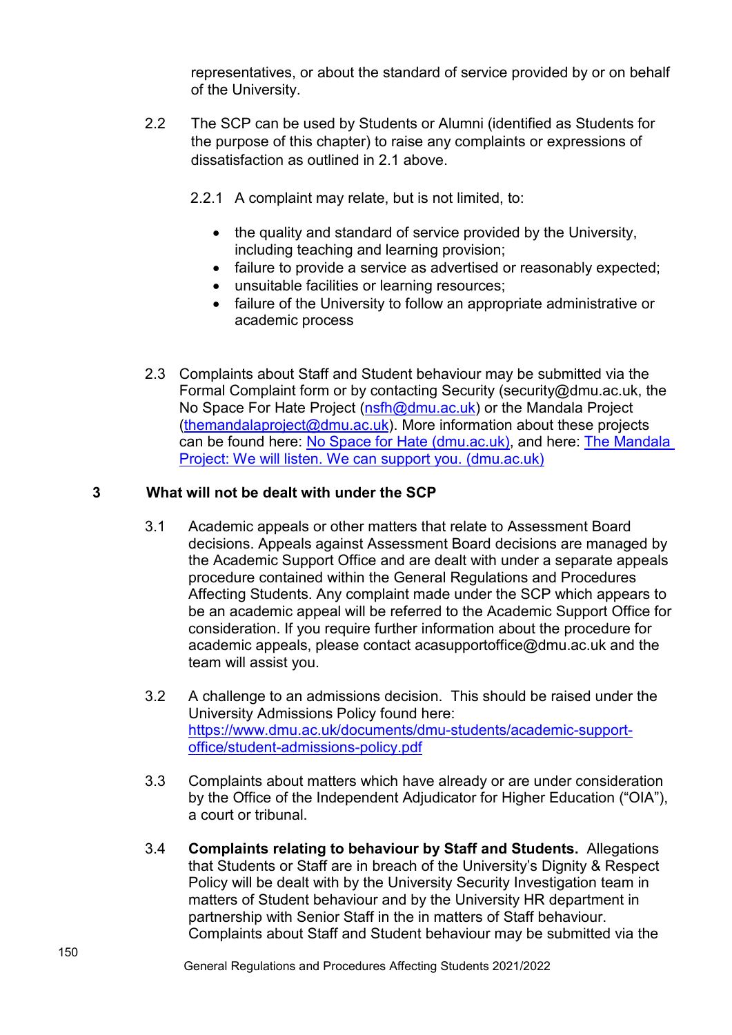representatives, or about the standard of service provided by or on behalf of the University.

- 2.2 The SCP can be used by Students or Alumni (identified as Students for the purpose of this chapter) to raise any complaints or expressions of dissatisfaction as outlined in 2.1 above.
	- 2.2.1 A complaint may relate, but is not limited, to:
		- the quality and standard of service provided by the University, including teaching and learning provision;
		- failure to provide a service as advertised or reasonably expected;
		- unsuitable facilities or learning resources;
		- failure of the University to follow an appropriate administrative or academic process
- 2.3 Complaints about Staff and Student behaviour may be submitted via the Formal Complaint form or by contacting Security (security@dmu.ac.uk, the No Space For Hate Project [\(nsfh@dmu.ac.uk\)](mailto:nsfh@dmu.ac.uk) or the Mandala Project  $(thermalalaproject@dmu.ac.uk)$ . More information about these projects can be found here: [No Space for Hate \(dmu.ac.uk\),](https://www.dmu.ac.uk/current-students/no-space-for-hate/index.aspx) and here: The Mandala [Project: We will listen. We can support you. \(dmu.ac.uk\)](https://www.dmu.ac.uk/current-students/student-support/wellbeing-disability/mandala-project/index.aspx)

## **3 What will not be dealt with under the SCP**

- 3.1 Academic appeals or other matters that relate to Assessment Board decisions. Appeals against Assessment Board decisions are managed by the Academic Support Office and are dealt with under a separate appeals procedure contained within the General Regulations and Procedures Affecting Students. Any complaint made under the SCP which appears to be an academic appeal will be referred to the Academic Support Office for consideration. If you require further information about the procedure for academic appeals, please contact acasupportoffice@dmu.ac.uk and the team will assist you.
- 3.2 A challenge to an admissions decision. This should be raised under the University Admissions Policy found here: [https://www.dmu.ac.uk/documents/dmu-students/academic-support](https://www.dmu.ac.uk/documents/dmu-students/academic-support-office/student-admissions-policy.pdf)[office/student-admissions-policy.pdf](https://www.dmu.ac.uk/documents/dmu-students/academic-support-office/student-admissions-policy.pdf)
- 3.3 Complaints about matters which have already or are under consideration by the Office of the Independent Adjudicator for Higher Education ("OIA"), a court or tribunal.
- 3.4 **Complaints relating to behaviour by Staff and Students.** Allegations that Students or Staff are in breach of the University's Dignity & Respect Policy will be dealt with by the University Security Investigation team in matters of Student behaviour and by the University HR department in partnership with Senior Staff in the in matters of Staff behaviour. Complaints about Staff and Student behaviour may be submitted via the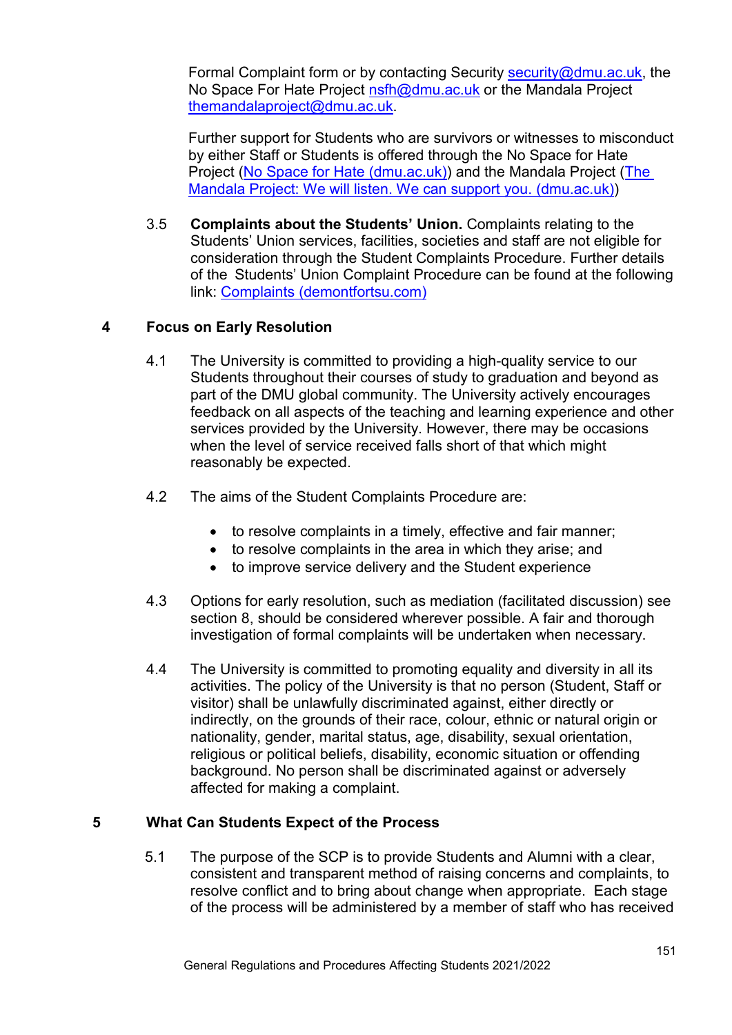Formal Complaint form or by contacting Security [security@dmu.ac.uk,](mailto:security@dmu.ac.uk) the No Space For Hate Project [nsfh@dmu.ac.uk](mailto:nsfh@dmu.ac.uk) or the Mandala Project [themandalaproject@dmu.ac.uk.](mailto:themandalaproject@dmu.ac.uk)

Further support for Students who are survivors or witnesses to misconduct by either Staff or Students is offered through the No Space for Hate Project [\(No Space for Hate \(dmu.ac.uk\)\)](https://www.dmu.ac.uk/current-students/no-space-for-hate/index.aspx) and the Mandala Project [\(The](https://www.dmu.ac.uk/current-students/student-support/wellbeing-disability/mandala-project/index.aspx)  [Mandala Project: We will listen. We can support you. \(dmu.ac.uk\)\)](https://www.dmu.ac.uk/current-students/student-support/wellbeing-disability/mandala-project/index.aspx)

3.5 **Complaints about the Students' Union.** Complaints relating to the Students' Union services, facilities, societies and staff are not eligible for consideration through the Student Complaints Procedure. Further details of the Students' Union Complaint Procedure can be found at the following link: [Complaints \(demontfortsu.com\)](https://www.demontfortsu.com/yourunion/complaints/) 

## **4 Focus on Early Resolution**

- 4.1 The University is committed to providing a high-quality service to our Students throughout their courses of study to graduation and beyond as part of the DMU global community. The University actively encourages feedback on all aspects of the teaching and learning experience and other services provided by the University. However, there may be occasions when the level of service received falls short of that which might reasonably be expected.
- 4.2 The aims of the Student Complaints Procedure are:
	- to resolve complaints in a timely, effective and fair manner;
	- to resolve complaints in the area in which they arise; and
	- to improve service delivery and the Student experience
- 4.3 Options for early resolution, such as mediation (facilitated discussion) see section 8, should be considered wherever possible. A fair and thorough investigation of formal complaints will be undertaken when necessary.
- 4.4 The University is committed to promoting equality and diversity in all its activities. The policy of the University is that no person (Student, Staff or visitor) shall be unlawfully discriminated against, either directly or indirectly, on the grounds of their race, colour, ethnic or natural origin or nationality, gender, marital status, age, disability, sexual orientation, religious or political beliefs, disability, economic situation or offending background. No person shall be discriminated against or adversely affected for making a complaint.

#### **5 What Can Students Expect of the Process**

5.1 The purpose of the SCP is to provide Students and Alumni with a clear, consistent and transparent method of raising concerns and complaints, to resolve conflict and to bring about change when appropriate. Each stage of the process will be administered by a member of staff who has received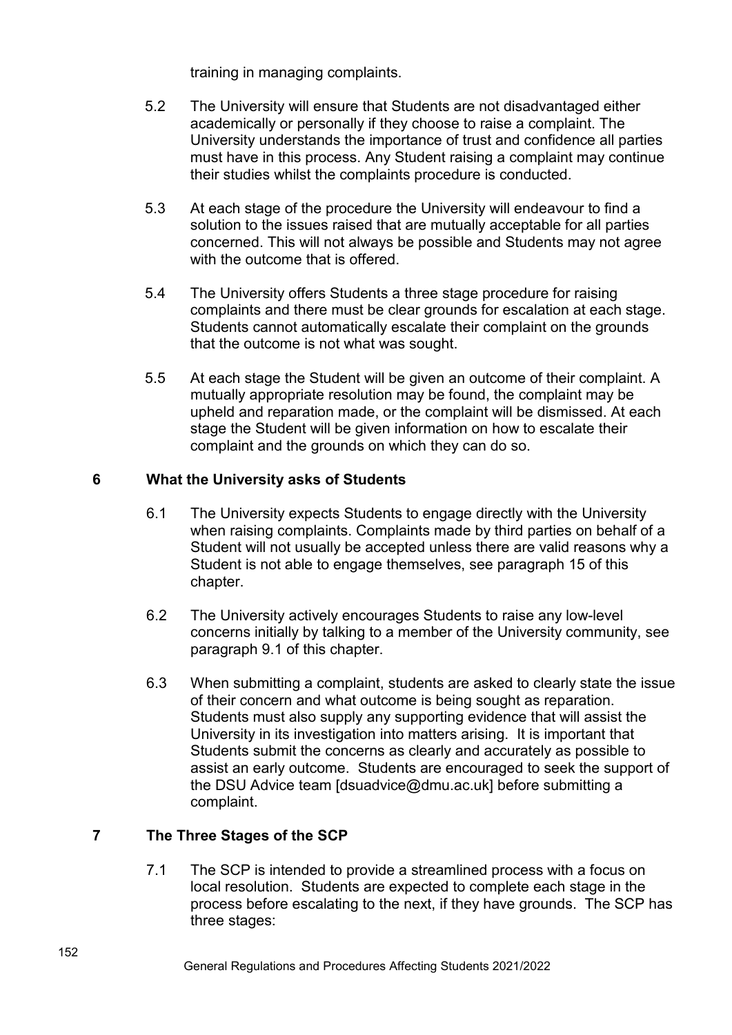training in managing complaints.

- 5.2 The University will ensure that Students are not disadvantaged either academically or personally if they choose to raise a complaint. The University understands the importance of trust and confidence all parties must have in this process. Any Student raising a complaint may continue their studies whilst the complaints procedure is conducted.
- 5.3 At each stage of the procedure the University will endeavour to find a solution to the issues raised that are mutually acceptable for all parties concerned. This will not always be possible and Students may not agree with the outcome that is offered.
- 5.4 The University offers Students a three stage procedure for raising complaints and there must be clear grounds for escalation at each stage. Students cannot automatically escalate their complaint on the grounds that the outcome is not what was sought.
- 5.5 At each stage the Student will be given an outcome of their complaint. A mutually appropriate resolution may be found, the complaint may be upheld and reparation made, or the complaint will be dismissed. At each stage the Student will be given information on how to escalate their complaint and the grounds on which they can do so.

## **6 What the University asks of Students**

- 6.1 The University expects Students to engage directly with the University when raising complaints. Complaints made by third parties on behalf of a Student will not usually be accepted unless there are valid reasons why a Student is not able to engage themselves, see paragraph 15 of this chapter.
- 6.2 The University actively encourages Students to raise any low-level concerns initially by talking to a member of the University community, see paragraph 9.1 of this chapter.
- 6.3 When submitting a complaint, students are asked to clearly state the issue of their concern and what outcome is being sought as reparation. Students must also supply any supporting evidence that will assist the University in its investigation into matters arising. It is important that Students submit the concerns as clearly and accurately as possible to assist an early outcome. Students are encouraged to seek the support of the DSU Advice team [dsuadvice@dmu.ac.uk] before submitting a complaint.

## **7 The Three Stages of the SCP**

7.1 The SCP is intended to provide a streamlined process with a focus on local resolution. Students are expected to complete each stage in the process before escalating to the next, if they have grounds. The SCP has three stages: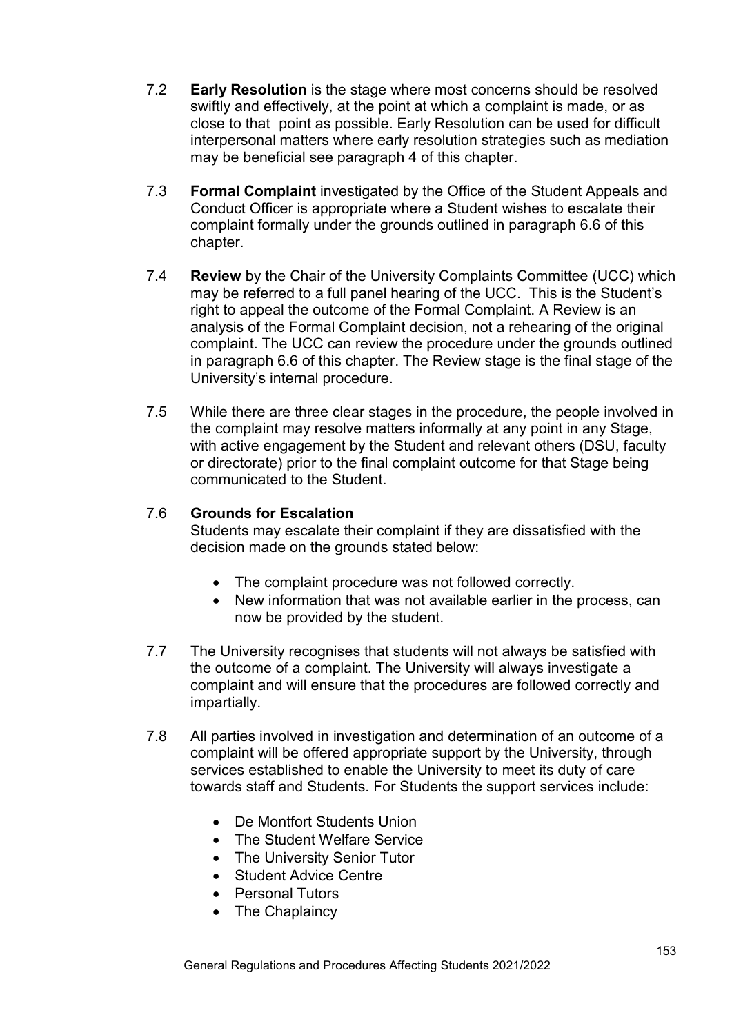- 7.2 **Early Resolution** is the stage where most concerns should be resolved swiftly and effectively, at the point at which a complaint is made, or as close to that point as possible. Early Resolution can be used for difficult interpersonal matters where early resolution strategies such as mediation may be beneficial see paragraph 4 of this chapter.
- 7.3 **Formal Complaint** investigated by the Office of the Student Appeals and Conduct Officer is appropriate where a Student wishes to escalate their complaint formally under the grounds outlined in paragraph 6.6 of this chapter.
- 7.4 **Review** by the Chair of the University Complaints Committee (UCC) which may be referred to a full panel hearing of the UCC. This is the Student's right to appeal the outcome of the Formal Complaint. A Review is an analysis of the Formal Complaint decision, not a rehearing of the original complaint. The UCC can review the procedure under the grounds outlined in paragraph 6.6 of this chapter. The Review stage is the final stage of the University's internal procedure.
- 7.5 While there are three clear stages in the procedure, the people involved in the complaint may resolve matters informally at any point in any Stage, with active engagement by the Student and relevant others (DSU, faculty or directorate) prior to the final complaint outcome for that Stage being communicated to the Student.

## 7.6 **Grounds for Escalation**

Students may escalate their complaint if they are dissatisfied with the decision made on the grounds stated below:

- The complaint procedure was not followed correctly.
- New information that was not available earlier in the process, can now be provided by the student.
- 7.7 The University recognises that students will not always be satisfied with the outcome of a complaint. The University will always investigate a complaint and will ensure that the procedures are followed correctly and impartially.
- 7.8 All parties involved in investigation and determination of an outcome of a complaint will be offered appropriate support by the University, through services established to enable the University to meet its duty of care towards staff and Students. For Students the support services include:
	- De Montfort Students Union
	- The Student Welfare Service
	- The University Senior Tutor
	- Student Advice Centre
	- Personal Tutors
	- The Chaplaincy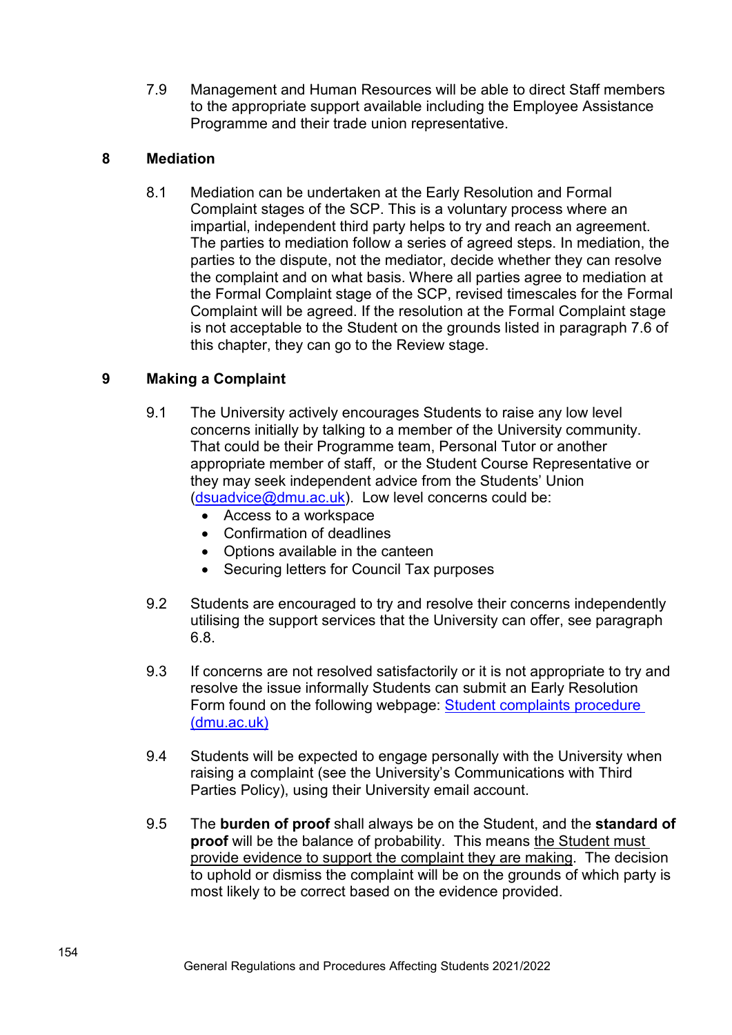7.9 Management and Human Resources will be able to direct Staff members to the appropriate support available including the Employee Assistance Programme and their trade union representative.

## **8 Mediation**

8.1 Mediation can be undertaken at the Early Resolution and Formal Complaint stages of the SCP. This is a voluntary process where an impartial, independent third party helps to try and reach an agreement. The parties to mediation follow a series of agreed steps. In mediation, the parties to the dispute, not the mediator, decide whether they can resolve the complaint and on what basis. Where all parties agree to mediation at the Formal Complaint stage of the SCP, revised timescales for the Formal Complaint will be agreed. If the resolution at the Formal Complaint stage is not acceptable to the Student on the grounds listed in paragraph 7.6 of this chapter, they can go to the Review stage.

## **9 Making a Complaint**

- 9.1 The University actively encourages Students to raise any low level concerns initially by talking to a member of the University community. That could be their Programme team, Personal Tutor or another appropriate member of staff, or the Student Course Representative or they may seek independent advice from the Students' Union [\(dsuadvice@dmu.ac.uk\)](mailto:dsuadvice@dmu.ac.uk). Low level concerns could be:
	- Access to a workspace
	- Confirmation of deadlines
	- Options available in the canteen
	- Securing letters for Council Tax purposes
- 9.2 Students are encouraged to try and resolve their concerns independently utilising the support services that the University can offer, see paragraph 6.8.
- 9.3 If concerns are not resolved satisfactorily or it is not appropriate to try and resolve the issue informally Students can submit an Early Resolution Form found on the following webpage: [Student complaints procedure](https://www.dmu.ac.uk/current-students/student-support/exams-deferrals-regulations-policies/student-complaints/index.aspx)  [\(dmu.ac.uk\)](https://www.dmu.ac.uk/current-students/student-support/exams-deferrals-regulations-policies/student-complaints/index.aspx)
- 9.4 Students will be expected to engage personally with the University when raising a complaint (see the University's Communications with Third Parties Policy), using their University email account.
- 9.5 The **burden of proof** shall always be on the Student, and the **standard of proof** will be the balance of probability. This means the Student must provide evidence to support the complaint they are making. The decision to uphold or dismiss the complaint will be on the grounds of which party is most likely to be correct based on the evidence provided.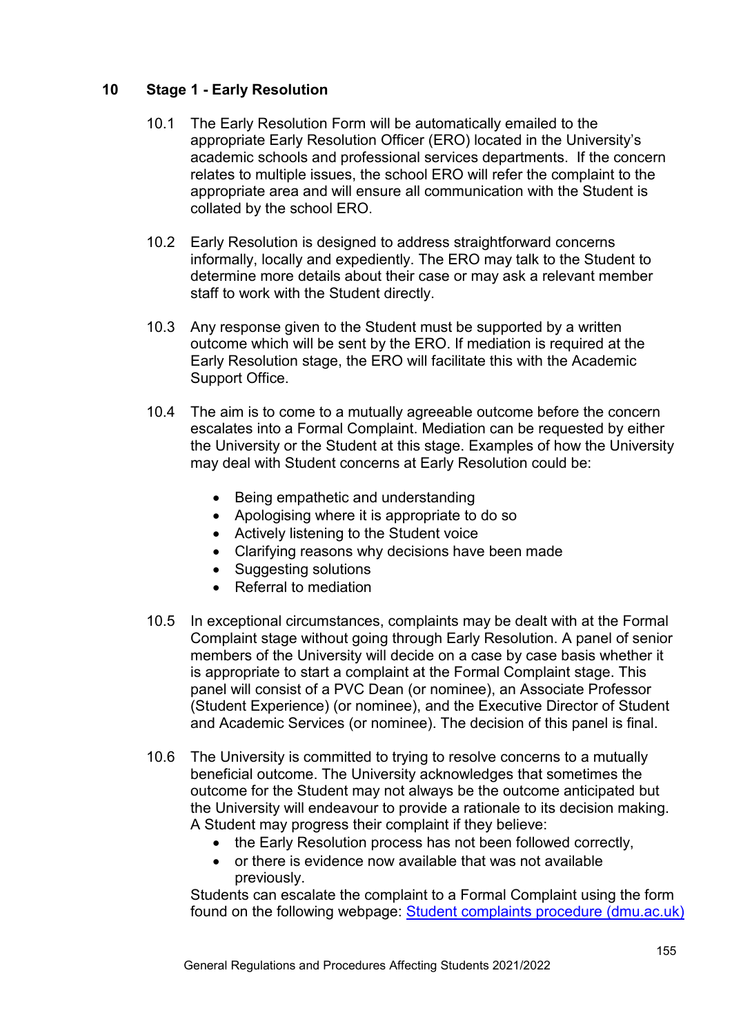## **10 Stage 1 - Early Resolution**

- 10.1 The Early Resolution Form will be automatically emailed to the appropriate Early Resolution Officer (ERO) located in the University's academic schools and professional services departments. If the concern relates to multiple issues, the school ERO will refer the complaint to the appropriate area and will ensure all communication with the Student is collated by the school ERO.
- 10.2 Early Resolution is designed to address straightforward concerns informally, locally and expediently. The ERO may talk to the Student to determine more details about their case or may ask a relevant member staff to work with the Student directly.
- 10.3 Any response given to the Student must be supported by a written outcome which will be sent by the ERO. If mediation is required at the Early Resolution stage, the ERO will facilitate this with the Academic Support Office.
- 10.4 The aim is to come to a mutually agreeable outcome before the concern escalates into a Formal Complaint. Mediation can be requested by either the University or the Student at this stage. Examples of how the University may deal with Student concerns at Early Resolution could be:
	- Being empathetic and understanding
	- Apologising where it is appropriate to do so
	- Actively listening to the Student voice
	- Clarifying reasons why decisions have been made
	- Suggesting solutions
	- Referral to mediation
- 10.5 In exceptional circumstances, complaints may be dealt with at the Formal Complaint stage without going through Early Resolution. A panel of senior members of the University will decide on a case by case basis whether it is appropriate to start a complaint at the Formal Complaint stage. This panel will consist of a PVC Dean (or nominee), an Associate Professor (Student Experience) (or nominee), and the Executive Director of Student and Academic Services (or nominee). The decision of this panel is final.
- 10.6 The University is committed to trying to resolve concerns to a mutually beneficial outcome. The University acknowledges that sometimes the outcome for the Student may not always be the outcome anticipated but the University will endeavour to provide a rationale to its decision making. A Student may progress their complaint if they believe:
	- the Early Resolution process has not been followed correctly,
	- or there is evidence now available that was not available previously.

Students can escalate the complaint to a Formal Complaint using the form found on the following webpage: [Student complaints procedure \(dmu.ac.uk\)](https://www.dmu.ac.uk/current-students/student-support/exams-deferrals-regulations-policies/student-complaints/index.aspx)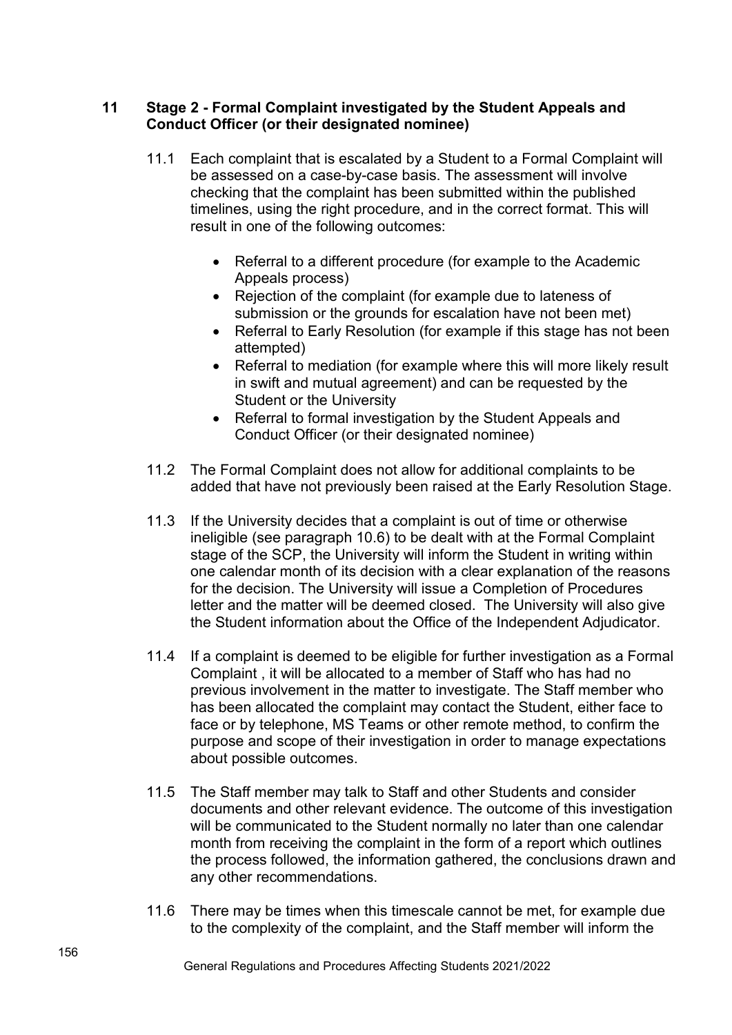## **11 Stage 2 - Formal Complaint investigated by the Student Appeals and Conduct Officer (or their designated nominee)**

- 11.1 Each complaint that is escalated by a Student to a Formal Complaint will be assessed on a case-by-case basis. The assessment will involve checking that the complaint has been submitted within the published timelines, using the right procedure, and in the correct format. This will result in one of the following outcomes:
	- Referral to a different procedure (for example to the Academic Appeals process)
	- Rejection of the complaint (for example due to lateness of submission or the grounds for escalation have not been met)
	- Referral to Early Resolution (for example if this stage has not been attempted)
	- Referral to mediation (for example where this will more likely result in swift and mutual agreement) and can be requested by the Student or the University
	- Referral to formal investigation by the Student Appeals and Conduct Officer (or their designated nominee)
- 11.2 The Formal Complaint does not allow for additional complaints to be added that have not previously been raised at the Early Resolution Stage.
- 11.3 If the University decides that a complaint is out of time or otherwise ineligible (see paragraph 10.6) to be dealt with at the Formal Complaint stage of the SCP, the University will inform the Student in writing within one calendar month of its decision with a clear explanation of the reasons for the decision. The University will issue a Completion of Procedures letter and the matter will be deemed closed. The University will also give the Student information about the Office of the Independent Adjudicator.
- 11.4 If a complaint is deemed to be eligible for further investigation as a Formal Complaint , it will be allocated to a member of Staff who has had no previous involvement in the matter to investigate. The Staff member who has been allocated the complaint may contact the Student, either face to face or by telephone, MS Teams or other remote method, to confirm the purpose and scope of their investigation in order to manage expectations about possible outcomes.
- 11.5 The Staff member may talk to Staff and other Students and consider documents and other relevant evidence. The outcome of this investigation will be communicated to the Student normally no later than one calendar month from receiving the complaint in the form of a report which outlines the process followed, the information gathered, the conclusions drawn and any other recommendations.
- 11.6 There may be times when this timescale cannot be met, for example due to the complexity of the complaint, and the Staff member will inform the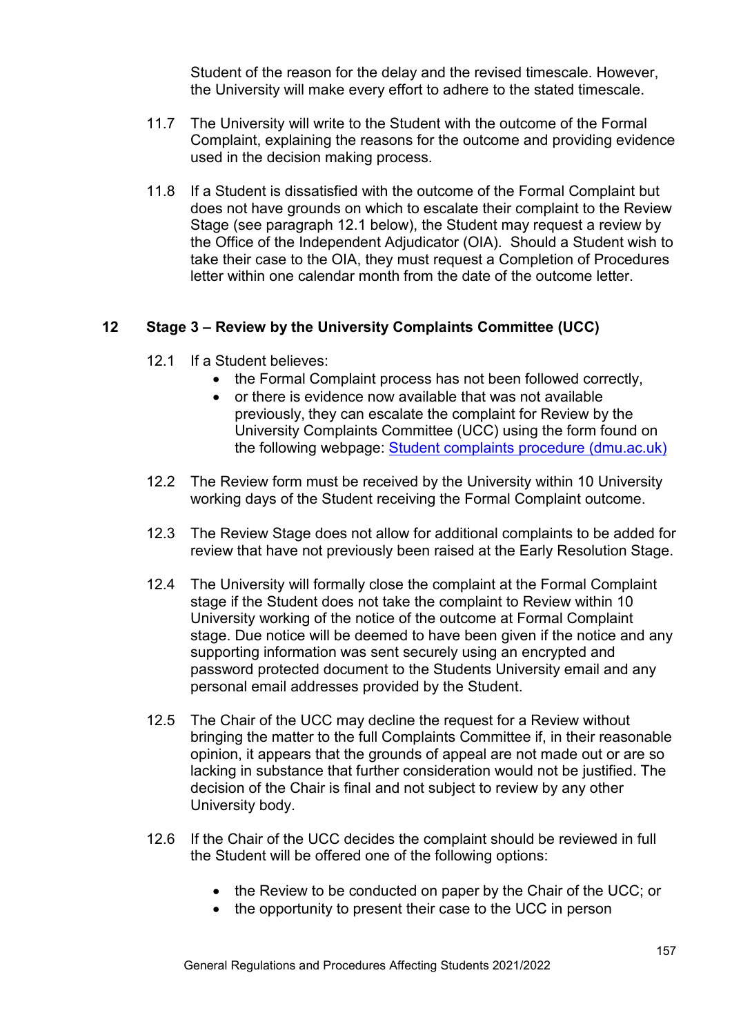Student of the reason for the delay and the revised timescale. However, the University will make every effort to adhere to the stated timescale.

- 11.7 The University will write to the Student with the outcome of the Formal Complaint, explaining the reasons for the outcome and providing evidence used in the decision making process.
- 11.8 If a Student is dissatisfied with the outcome of the Formal Complaint but does not have grounds on which to escalate their complaint to the Review Stage (see paragraph 12.1 below), the Student may request a review by the Office of the Independent Adjudicator (OIA). Should a Student wish to take their case to the OIA, they must request a Completion of Procedures letter within one calendar month from the date of the outcome letter.

#### **12 Stage 3 – Review by the University Complaints Committee (UCC)**

- 12.1 If a Student believes:
	- the Formal Complaint process has not been followed correctly,
	- or there is evidence now available that was not available previously, they can escalate the complaint for Review by the University Complaints Committee (UCC) using the form found on the following webpage: [Student complaints procedure \(dmu.ac.uk\)](https://www.dmu.ac.uk/current-students/student-support/exams-deferrals-regulations-policies/student-complaints/index.aspx)
- 12.2 The Review form must be received by the University within 10 University working days of the Student receiving the Formal Complaint outcome.
- 12.3 The Review Stage does not allow for additional complaints to be added for review that have not previously been raised at the Early Resolution Stage.
- 12.4 The University will formally close the complaint at the Formal Complaint stage if the Student does not take the complaint to Review within 10 University working of the notice of the outcome at Formal Complaint stage. Due notice will be deemed to have been given if the notice and any supporting information was sent securely using an encrypted and password protected document to the Students University email and any personal email addresses provided by the Student.
- 12.5 The Chair of the UCC may decline the request for a Review without bringing the matter to the full Complaints Committee if, in their reasonable opinion, it appears that the grounds of appeal are not made out or are so lacking in substance that further consideration would not be justified. The decision of the Chair is final and not subject to review by any other University body.
- 12.6 If the Chair of the UCC decides the complaint should be reviewed in full the Student will be offered one of the following options:
	- the Review to be conducted on paper by the Chair of the UCC; or
	- the opportunity to present their case to the UCC in person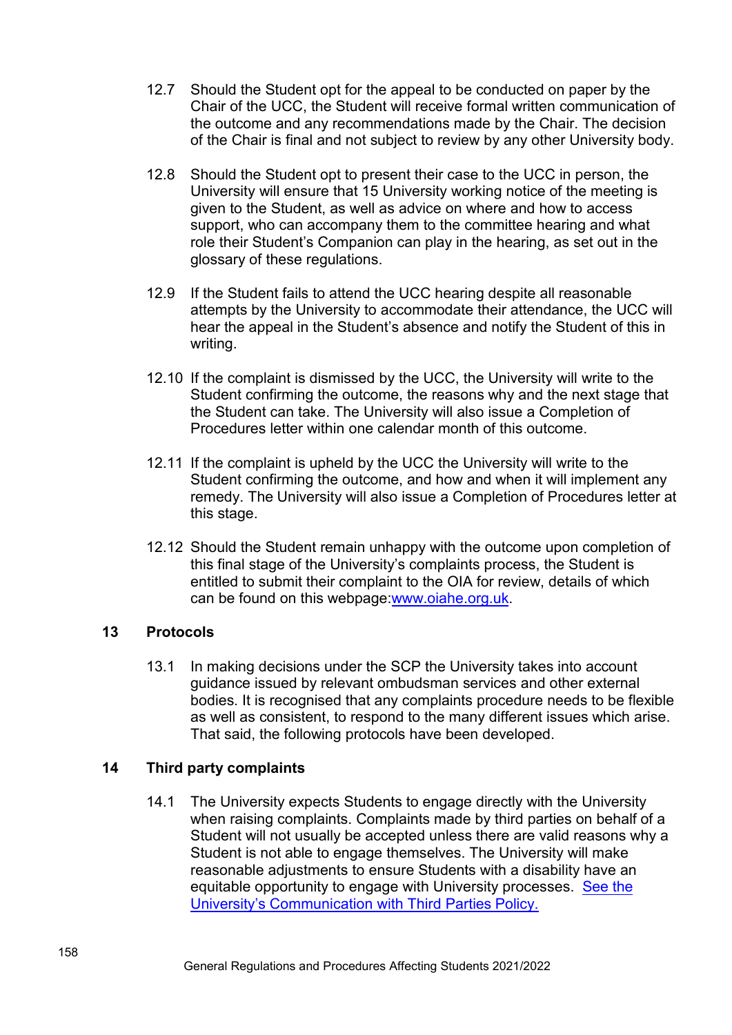- 12.7 Should the Student opt for the appeal to be conducted on paper by the Chair of the UCC, the Student will receive formal written communication of the outcome and any recommendations made by the Chair. The decision of the Chair is final and not subject to review by any other University body.
- 12.8 Should the Student opt to present their case to the UCC in person, the University will ensure that 15 University working notice of the meeting is given to the Student, as well as advice on where and how to access support, who can accompany them to the committee hearing and what role their Student's Companion can play in the hearing, as set out in the glossary of these regulations.
- 12.9 If the Student fails to attend the UCC hearing despite all reasonable attempts by the University to accommodate their attendance, the UCC will hear the appeal in the Student's absence and notify the Student of this in writing.
- 12.10 If the complaint is dismissed by the UCC, the University will write to the Student confirming the outcome, the reasons why and the next stage that the Student can take. The University will also issue a Completion of Procedures letter within one calendar month of this outcome.
- 12.11 If the complaint is upheld by the UCC the University will write to the Student confirming the outcome, and how and when it will implement any remedy. The University will also issue a Completion of Procedures letter at this stage.
- 12.12 Should the Student remain unhappy with the outcome upon completion of this final stage of the University's complaints process, the Student is entitled to submit their complaint to the OIA for review, details of which can be found on this webpage[:www.oiahe.org.uk.](http://www.oiahe.org.uk/)

#### **13 Protocols**

13.1 In making decisions under the SCP the University takes into account guidance issued by relevant ombudsman services and other external bodies. It is recognised that any complaints procedure needs to be flexible as well as consistent, to respond to the many different issues which arise. That said, the following protocols have been developed.

## **14 Third party complaints**

14.1 The University expects Students to engage directly with the University when raising complaints. Complaints made by third parties on behalf of a Student will not usually be accepted unless there are valid reasons why a Student is not able to engage themselves. The University will make reasonable adjustments to ensure Students with a disability have an [equitable opportunity to engage with University processes. See the](https://www.dmu.ac.uk/documents/dmu-students/academic-support-office/policies/communication-with-third-parties-policy.pdf) University's Communication with Third Parties Policy.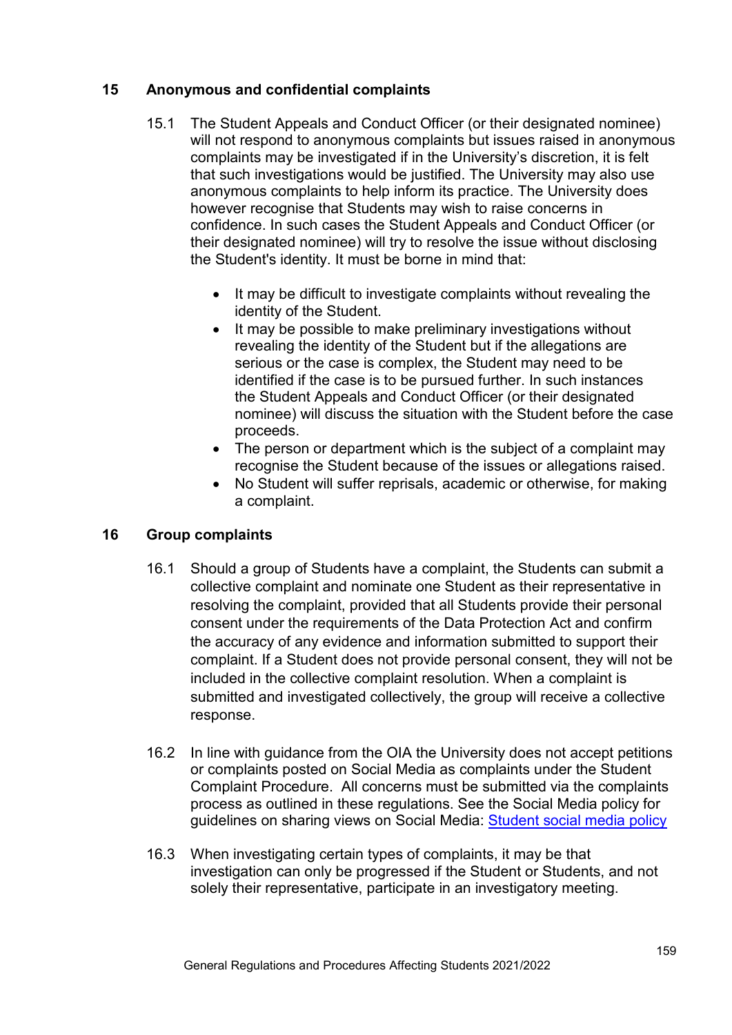## **15 Anonymous and confidential complaints**

- 15.1 The Student Appeals and Conduct Officer (or their designated nominee) will not respond to anonymous complaints but issues raised in anonymous complaints may be investigated if in the University's discretion, it is felt that such investigations would be justified. The University may also use anonymous complaints to help inform its practice. The University does however recognise that Students may wish to raise concerns in confidence. In such cases the Student Appeals and Conduct Officer (or their designated nominee) will try to resolve the issue without disclosing the Student's identity. It must be borne in mind that:
	- It may be difficult to investigate complaints without revealing the identity of the Student.
	- It may be possible to make preliminary investigations without revealing the identity of the Student but if the allegations are serious or the case is complex, the Student may need to be identified if the case is to be pursued further. In such instances the Student Appeals and Conduct Officer (or their designated nominee) will discuss the situation with the Student before the case proceeds.
	- The person or department which is the subject of a complaint may recognise the Student because of the issues or allegations raised.
	- No Student will suffer reprisals, academic or otherwise, for making a complaint.

## **16 Group complaints**

- 16.1 Should a group of Students have a complaint, the Students can submit a collective complaint and nominate one Student as their representative in resolving the complaint, provided that all Students provide their personal consent under the requirements of the Data Protection Act and confirm the accuracy of any evidence and information submitted to support their complaint. If a Student does not provide personal consent, they will not be included in the collective complaint resolution. When a complaint is submitted and investigated collectively, the group will receive a collective response.
- 16.2 In line with guidance from the OIA the University does not accept petitions or complaints posted on Social Media as complaints under the Student Complaint Procedure. All concerns must be submitted via the complaints process as outlined in these regulations. See the Social Media policy for guidelines on sharing views on Social Media: [Student social media policy](https://www.dmu.ac.uk/documents/dmu-students/academic-support-office/student-social-media-policy-updated-2020.docx)
- 16.3 When investigating certain types of complaints, it may be that investigation can only be progressed if the Student or Students, and not solely their representative, participate in an investigatory meeting.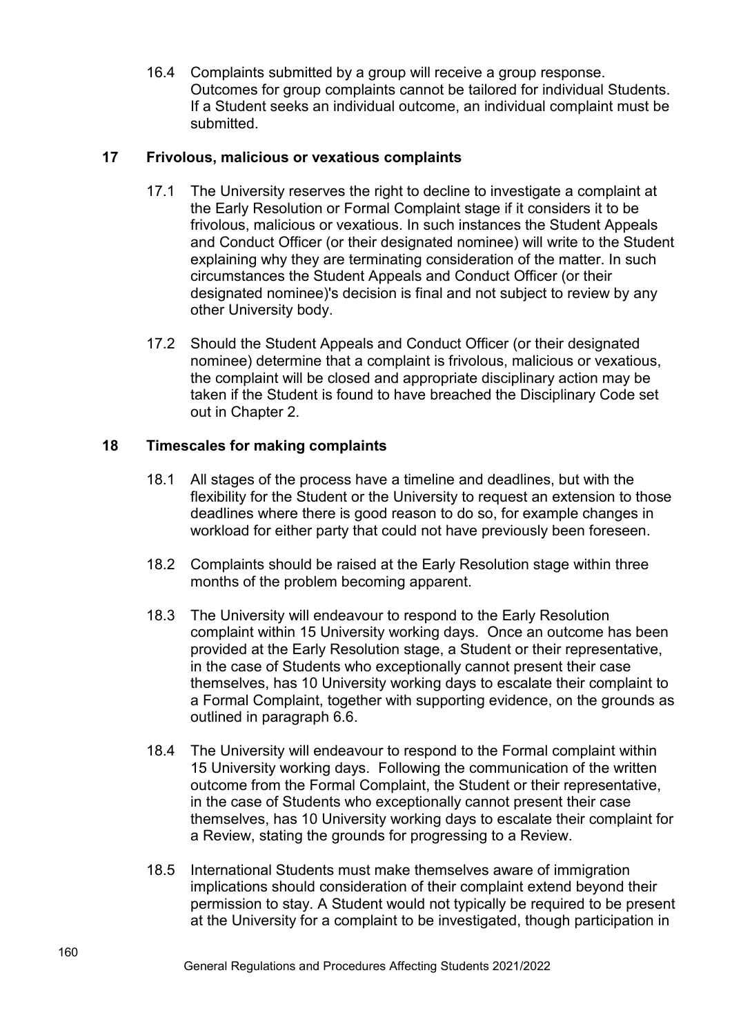16.4 Complaints submitted by a group will receive a group response. Outcomes for group complaints cannot be tailored for individual Students. If a Student seeks an individual outcome, an individual complaint must be submitted.

## **17 Frivolous, malicious or vexatious complaints**

- 17.1 The University reserves the right to decline to investigate a complaint at the Early Resolution or Formal Complaint stage if it considers it to be frivolous, malicious or vexatious. In such instances the Student Appeals and Conduct Officer (or their designated nominee) will write to the Student explaining why they are terminating consideration of the matter. In such circumstances the Student Appeals and Conduct Officer (or their designated nominee)'s decision is final and not subject to review by any other University body.
- 17.2 Should the Student Appeals and Conduct Officer (or their designated nominee) determine that a complaint is frivolous, malicious or vexatious, the complaint will be closed and appropriate disciplinary action may be taken if the Student is found to have breached the Disciplinary Code set out in Chapter 2.

## **18 Timescales for making complaints**

- 18.1 All stages of the process have a timeline and deadlines, but with the flexibility for the Student or the University to request an extension to those deadlines where there is good reason to do so, for example changes in workload for either party that could not have previously been foreseen.
- 18.2 Complaints should be raised at the Early Resolution stage within three months of the problem becoming apparent.
- 18.3 The University will endeavour to respond to the Early Resolution complaint within 15 University working days. Once an outcome has been provided at the Early Resolution stage, a Student or their representative, in the case of Students who exceptionally cannot present their case themselves, has 10 University working days to escalate their complaint to a Formal Complaint, together with supporting evidence, on the grounds as outlined in paragraph 6.6.
- 18.4 The University will endeavour to respond to the Formal complaint within 15 University working days. Following the communication of the written outcome from the Formal Complaint, the Student or their representative, in the case of Students who exceptionally cannot present their case themselves, has 10 University working days to escalate their complaint for a Review, stating the grounds for progressing to a Review.
- 18.5 International Students must make themselves aware of immigration implications should consideration of their complaint extend beyond their permission to stay. A Student would not typically be required to be present at the University for a complaint to be investigated, though participation in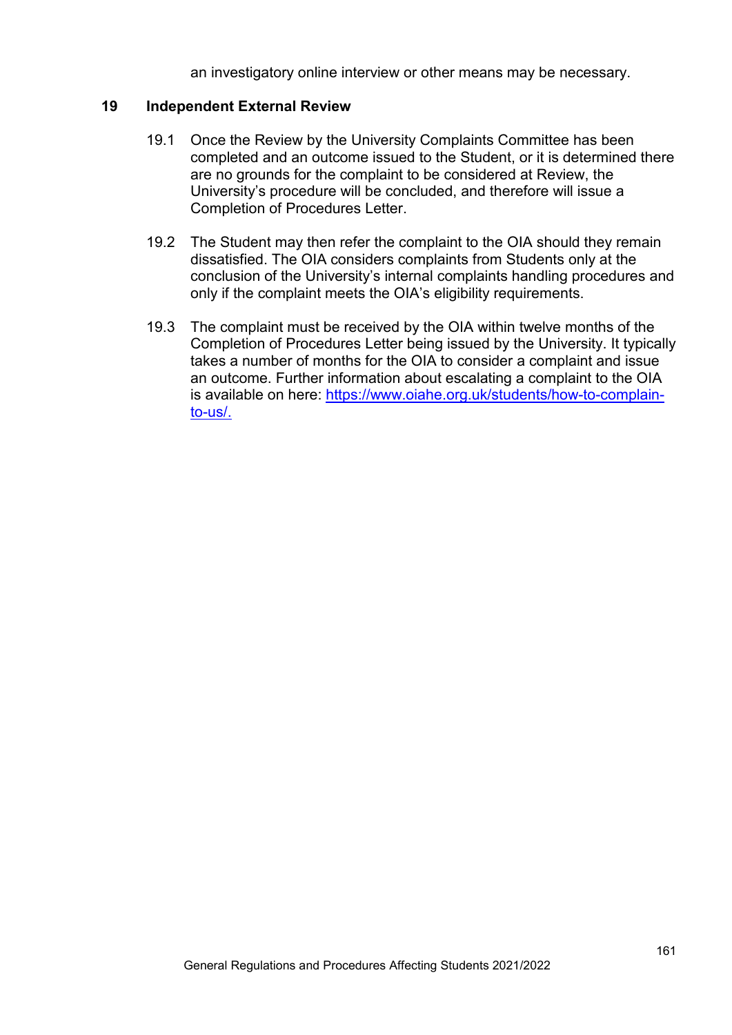an investigatory online interview or other means may be necessary.

#### **19 Independent External Review**

- 19.1 Once the Review by the University Complaints Committee has been completed and an outcome issued to the Student, or it is determined there are no grounds for the complaint to be considered at Review, the University's procedure will be concluded, and therefore will issue a Completion of Procedures Letter.
- 19.2 The Student may then refer the complaint to the OIA should they remain dissatisfied. The OIA considers complaints from Students only at the conclusion of the University's internal complaints handling procedures and only if the complaint meets the OIA's eligibility requirements.
- 19.3 The complaint must be received by the OIA within twelve months of the Completion of Procedures Letter being issued by the University. It typically takes a number of months for the OIA to consider a complaint and issue an outcome. Further information about escalating a complaint to the OIA is available on here: [https://www.oiahe.org.uk/students/how-to-complain](https://www.oiahe.org.uk/students/how-to-complain-to-us/)[to-us/.](https://www.oiahe.org.uk/students/how-to-complain-to-us/)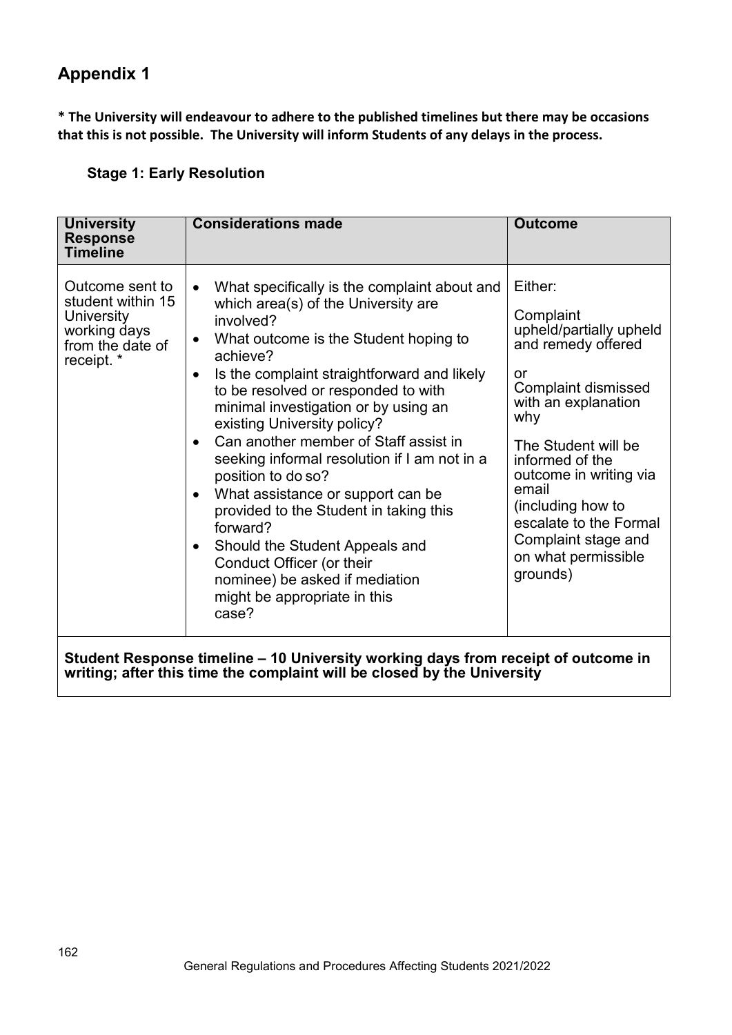# **Appendix 1**

**\* The University will endeavour to adhere to the published timelines but there may be occasions that this is not possible. The University will inform Students of any delays in the process.**

## **Stage 1: Early Resolution**

| <b>University</b><br><b>Response</b><br><b>Timeline</b>                                                                                                      | <b>Considerations made</b>                                                                                                                                                                                                                                                                                                                                                                                                                                                                                                                                                                                                                                                                                    | <b>Outcome</b>                                                                                                                                                                                                                                                                                                                |  |  |
|--------------------------------------------------------------------------------------------------------------------------------------------------------------|---------------------------------------------------------------------------------------------------------------------------------------------------------------------------------------------------------------------------------------------------------------------------------------------------------------------------------------------------------------------------------------------------------------------------------------------------------------------------------------------------------------------------------------------------------------------------------------------------------------------------------------------------------------------------------------------------------------|-------------------------------------------------------------------------------------------------------------------------------------------------------------------------------------------------------------------------------------------------------------------------------------------------------------------------------|--|--|
| Outcome sent to<br>student within 15<br>University<br>working days<br>from the date of<br>receipt. *                                                         | What specifically is the complaint about and<br>$\bullet$<br>which area(s) of the University are<br>involved?<br>What outcome is the Student hoping to<br>achieve?<br>Is the complaint straightforward and likely<br>$\bullet$<br>to be resolved or responded to with<br>minimal investigation or by using an<br>existing University policy?<br>Can another member of Staff assist in<br>$\bullet$<br>seeking informal resolution if I am not in a<br>position to do so?<br>What assistance or support can be<br>provided to the Student in taking this<br>forward?<br>Should the Student Appeals and<br>Conduct Officer (or their<br>nominee) be asked if mediation<br>might be appropriate in this<br>case? | Either:<br>Complaint<br>upheld/partially upheld<br>and remedy offered<br>or<br><b>Complaint dismissed</b><br>with an explanation<br>why<br>The Student will be<br>informed of the<br>outcome in writing via<br>email<br>(including how to<br>escalate to the Formal<br>Complaint stage and<br>on what permissible<br>grounds) |  |  |
| Student Response timeline - 10 University working days from receipt of outcome in<br>writing; after this time the complaint will be closed by the University |                                                                                                                                                                                                                                                                                                                                                                                                                                                                                                                                                                                                                                                                                                               |                                                                                                                                                                                                                                                                                                                               |  |  |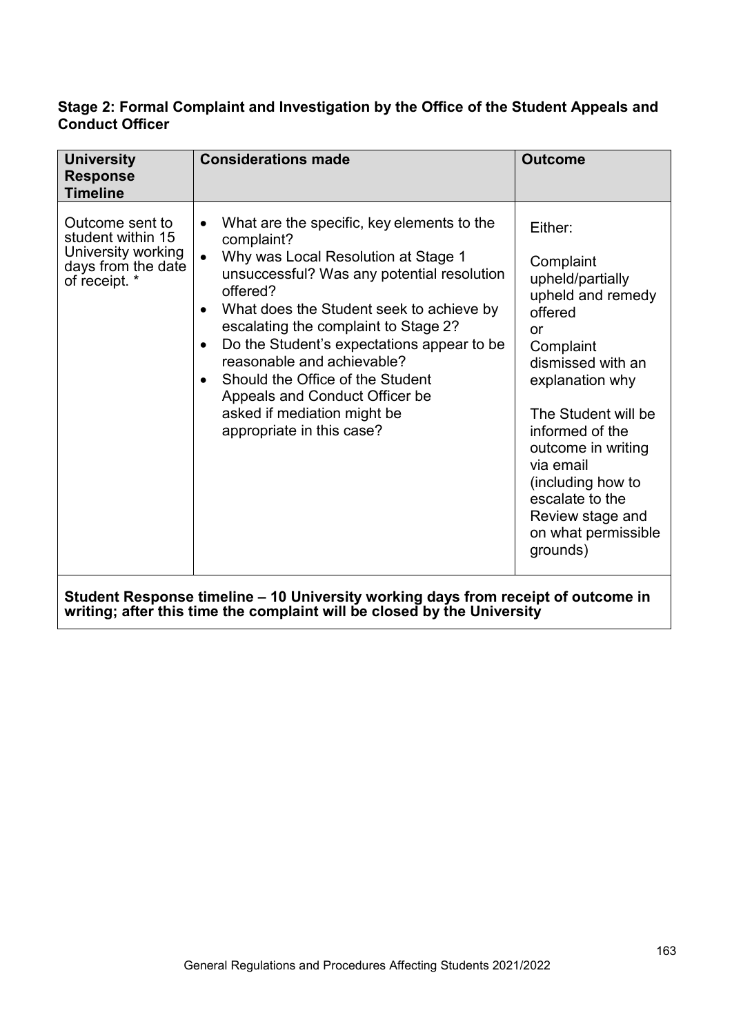## **Stage 2: Formal Complaint and Investigation by the Office of the Student Appeals and Conduct Officer**

| <b>University</b><br><b>Response</b><br><b>Timeline</b>                                           | <b>Considerations made</b>                                                                                                                                                                                                                                                                                                                                                                                                                                                                                      | <b>Outcome</b>                                                                                                                                                                                                                                                                                                  |  |  |
|---------------------------------------------------------------------------------------------------|-----------------------------------------------------------------------------------------------------------------------------------------------------------------------------------------------------------------------------------------------------------------------------------------------------------------------------------------------------------------------------------------------------------------------------------------------------------------------------------------------------------------|-----------------------------------------------------------------------------------------------------------------------------------------------------------------------------------------------------------------------------------------------------------------------------------------------------------------|--|--|
| Outcome sent to<br>student within 15<br>University working<br>days from the date<br>of receipt. * | What are the specific, key elements to the<br>complaint?<br>Why was Local Resolution at Stage 1<br>$\bullet$<br>unsuccessful? Was any potential resolution<br>offered?<br>What does the Student seek to achieve by<br>$\bullet$<br>escalating the complaint to Stage 2?<br>Do the Student's expectations appear to be<br>$\bullet$<br>reasonable and achievable?<br>Should the Office of the Student<br>$\bullet$<br>Appeals and Conduct Officer be<br>asked if mediation might be<br>appropriate in this case? | Either:<br>Complaint<br>upheld/partially<br>upheld and remedy<br>offered<br>or<br>Complaint<br>dismissed with an<br>explanation why<br>The Student will be<br>informed of the<br>outcome in writing<br>via email<br>(including how to<br>escalate to the<br>Review stage and<br>on what permissible<br>grounds) |  |  |
| Student Response timeline – 10 University working days from receipt of outcome in                 |                                                                                                                                                                                                                                                                                                                                                                                                                                                                                                                 |                                                                                                                                                                                                                                                                                                                 |  |  |

**writing; after this time the complaint will be closed by the University**